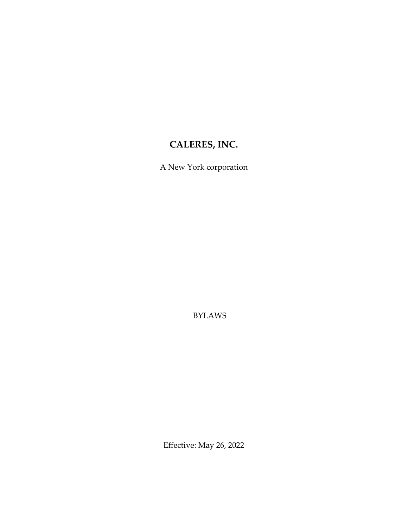# **CALERES, INC.**

A New York corporation

BYLAWS

Effective: May 26, 2022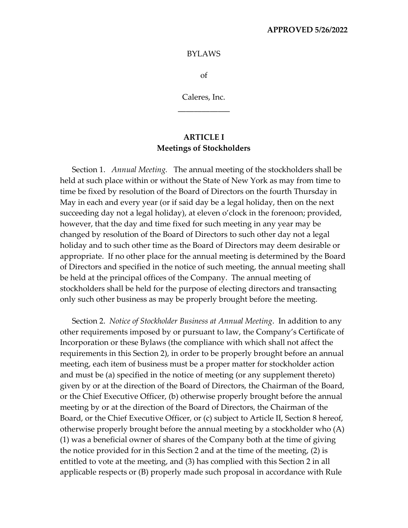#### **APPROVED 5/26/2022**

#### BYLAWS

of

Caleres, Inc. **\_\_\_\_\_\_\_\_\_\_\_\_\_**

# **ARTICLE I Meetings of Stockholders**

Section 1. *Annual Meeting.* The annual meeting of the stockholders shall be held at such place within or without the State of New York as may from time to time be fixed by resolution of the Board of Directors on the fourth Thursday in May in each and every year (or if said day be a legal holiday, then on the next succeeding day not a legal holiday), at eleven o'clock in the forenoon; provided, however, that the day and time fixed for such meeting in any year may be changed by resolution of the Board of Directors to such other day not a legal holiday and to such other time as the Board of Directors may deem desirable or appropriate. If no other place for the annual meeting is determined by the Board of Directors and specified in the notice of such meeting, the annual meeting shall be held at the principal offices of the Company. The annual meeting of stockholders shall be held for the purpose of electing directors and transacting only such other business as may be properly brought before the meeting.

Section 2. *Notice of Stockholder Business at Annual Meeting*. In addition to any other requirements imposed by or pursuant to law, the Company's Certificate of Incorporation or these Bylaws (the compliance with which shall not affect the requirements in this Section 2), in order to be properly brought before an annual meeting, each item of business must be a proper matter for stockholder action and must be (a) specified in the notice of meeting (or any supplement thereto) given by or at the direction of the Board of Directors, the Chairman of the Board, or the Chief Executive Officer, (b) otherwise properly brought before the annual meeting by or at the direction of the Board of Directors, the Chairman of the Board, or the Chief Executive Officer, or (c) subject to Article II, Section 8 hereof, otherwise properly brought before the annual meeting by a stockholder who (A) (1) was a beneficial owner of shares of the Company both at the time of giving the notice provided for in this Section 2 and at the time of the meeting, (2) is entitled to vote at the meeting, and (3) has complied with this Section 2 in all applicable respects or (B) properly made such proposal in accordance with Rule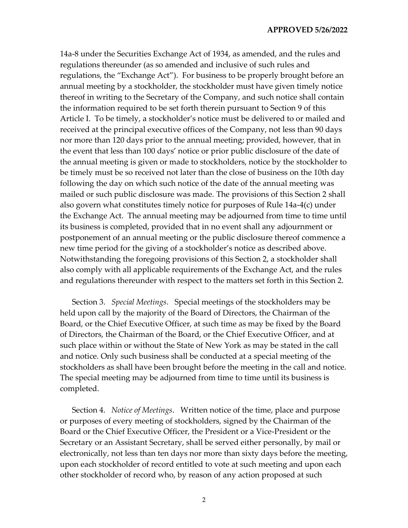14a-8 under the Securities Exchange Act of 1934, as amended, and the rules and regulations thereunder (as so amended and inclusive of such rules and regulations, the "Exchange Act"). For business to be properly brought before an annual meeting by a stockholder, the stockholder must have given timely notice thereof in writing to the Secretary of the Company, and such notice shall contain the information required to be set forth therein pursuant to Section 9 of this Article I. To be timely, a stockholder's notice must be delivered to or mailed and received at the principal executive offices of the Company, not less than 90 days nor more than 120 days prior to the annual meeting; provided, however, that in the event that less than 100 days' notice or prior public disclosure of the date of the annual meeting is given or made to stockholders, notice by the stockholder to be timely must be so received not later than the close of business on the 10th day following the day on which such notice of the date of the annual meeting was mailed or such public disclosure was made. The provisions of this Section 2 shall also govern what constitutes timely notice for purposes of Rule 14a-4(c) under the Exchange Act. The annual meeting may be adjourned from time to time until its business is completed, provided that in no event shall any adjournment or postponement of an annual meeting or the public disclosure thereof commence a new time period for the giving of a stockholder's notice as described above. Notwithstanding the foregoing provisions of this Section 2, a stockholder shall also comply with all applicable requirements of the Exchange Act, and the rules and regulations thereunder with respect to the matters set forth in this Section 2.

Section 3. *Special Meetings*. Special meetings of the stockholders may be held upon call by the majority of the Board of Directors, the Chairman of the Board, or the Chief Executive Officer, at such time as may be fixed by the Board of Directors, the Chairman of the Board, or the Chief Executive Officer, and at such place within or without the State of New York as may be stated in the call and notice. Only such business shall be conducted at a special meeting of the stockholders as shall have been brought before the meeting in the call and notice. The special meeting may be adjourned from time to time until its business is completed.

Section 4. *Notice of Meetings*. Written notice of the time, place and purpose or purposes of every meeting of stockholders, signed by the Chairman of the Board or the Chief Executive Officer, the President or a Vice-President or the Secretary or an Assistant Secretary, shall be served either personally, by mail or electronically, not less than ten days nor more than sixty days before the meeting, upon each stockholder of record entitled to vote at such meeting and upon each other stockholder of record who, by reason of any action proposed at such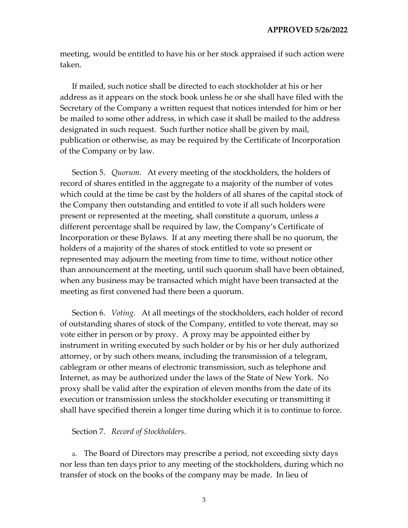meeting, would be entitled to have his or her stock appraised if such action were taken.

If mailed, such notice shall be directed to each stockholder at his or her address as it appears on the stock book unless he or she shall have filed with the Secretary of the Company a written request that notices intended for him or her be mailed to some other address, in which case it shall be mailed to the address designated in such request. Such further notice shall be given by mail, publication or otherwise, as may be required by the Certificate of Incorporation of the Company or by law.

Section 5. *Quorum*. At every meeting of the stockholders, the holders of record of shares entitled in the aggregate to a majority of the number of votes which could at the time be cast by the holders of all shares of the capital stock of the Company then outstanding and entitled to vote if all such holders were present or represented at the meeting, shall constitute a quorum, unless a different percentage shall be required by law, the Company's Certificate of Incorporation or these Bylaws. If at any meeting there shall be no quorum, the holders of a majority of the shares of stock entitled to vote so present or represented may adjourn the meeting from time to time, without notice other than announcement at the meeting, until such quorum shall have been obtained, when any business may be transacted which might have been transacted at the meeting as first convened had there been a quorum.

Section 6. *Voting*. At all meetings of the stockholders, each holder of record of outstanding shares of stock of the Company, entitled to vote thereat, may so vote either in person or by proxy. A proxy may be appointed either by instrument in writing executed by such holder or by his or her duly authorized attorney, or by such others means, including the transmission of a telegram, cablegram or other means of electronic transmission, such as telephone and Internet, as may be authorized under the laws of the State of New York. No proxy shall be valid after the expiration of eleven months from the date of its execution or transmission unless the stockholder executing or transmitting it shall have specified therein a longer time during which it is to continue to force.

#### Section 7. *Record of Stockholders*.

a. The Board of Directors may prescribe a period, not exceeding sixty days nor less than ten days prior to any meeting of the stockholders, during which no transfer of stock on the books of the company may be made. In lieu of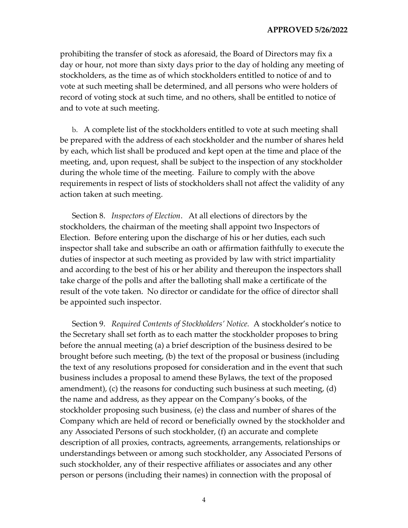prohibiting the transfer of stock as aforesaid, the Board of Directors may fix a day or hour, not more than sixty days prior to the day of holding any meeting of stockholders, as the time as of which stockholders entitled to notice of and to vote at such meeting shall be determined, and all persons who were holders of record of voting stock at such time, and no others, shall be entitled to notice of and to vote at such meeting.

b. A complete list of the stockholders entitled to vote at such meeting shall be prepared with the address of each stockholder and the number of shares held by each, which list shall be produced and kept open at the time and place of the meeting, and, upon request, shall be subject to the inspection of any stockholder during the whole time of the meeting. Failure to comply with the above requirements in respect of lists of stockholders shall not affect the validity of any action taken at such meeting.

Section 8. *Inspectors of Election*. At all elections of directors by the stockholders, the chairman of the meeting shall appoint two Inspectors of Election. Before entering upon the discharge of his or her duties, each such inspector shall take and subscribe an oath or affirmation faithfully to execute the duties of inspector at such meeting as provided by law with strict impartiality and according to the best of his or her ability and thereupon the inspectors shall take charge of the polls and after the balloting shall make a certificate of the result of the vote taken. No director or candidate for the office of director shall be appointed such inspector.

Section 9. *Required Contents of Stockholders' Notice.* A stockholder's notice to the Secretary shall set forth as to each matter the stockholder proposes to bring before the annual meeting (a) a brief description of the business desired to be brought before such meeting, (b) the text of the proposal or business (including the text of any resolutions proposed for consideration and in the event that such business includes a proposal to amend these Bylaws, the text of the proposed amendment), (c) the reasons for conducting such business at such meeting, (d) the name and address, as they appear on the Company's books, of the stockholder proposing such business, (e) the class and number of shares of the Company which are held of record or beneficially owned by the stockholder and any Associated Persons of such stockholder, (f) an accurate and complete description of all proxies, contracts, agreements, arrangements, relationships or understandings between or among such stockholder, any Associated Persons of such stockholder, any of their respective affiliates or associates and any other person or persons (including their names) in connection with the proposal of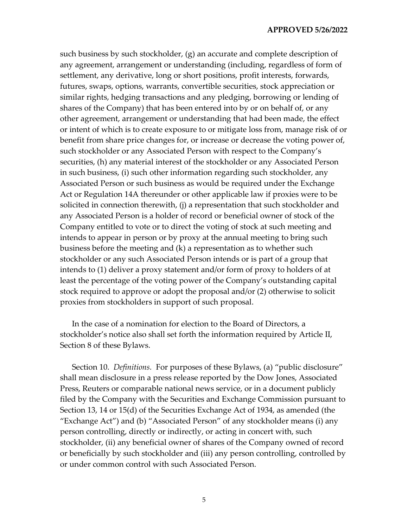such business by such stockholder, (g) an accurate and complete description of any agreement, arrangement or understanding (including, regardless of form of settlement, any derivative, long or short positions, profit interests, forwards, futures, swaps, options, warrants, convertible securities, stock appreciation or similar rights, hedging transactions and any pledging, borrowing or lending of shares of the Company) that has been entered into by or on behalf of, or any other agreement, arrangement or understanding that had been made, the effect or intent of which is to create exposure to or mitigate loss from, manage risk of or benefit from share price changes for, or increase or decrease the voting power of, such stockholder or any Associated Person with respect to the Company's securities, (h) any material interest of the stockholder or any Associated Person in such business, (i) such other information regarding such stockholder, any Associated Person or such business as would be required under the Exchange Act or Regulation 14A thereunder or other applicable law if proxies were to be solicited in connection therewith, (j) a representation that such stockholder and any Associated Person is a holder of record or beneficial owner of stock of the Company entitled to vote or to direct the voting of stock at such meeting and intends to appear in person or by proxy at the annual meeting to bring such business before the meeting and (k) a representation as to whether such stockholder or any such Associated Person intends or is part of a group that intends to (1) deliver a proxy statement and/or form of proxy to holders of at least the percentage of the voting power of the Company's outstanding capital stock required to approve or adopt the proposal and/or (2) otherwise to solicit proxies from stockholders in support of such proposal.

In the case of a nomination for election to the Board of Directors, a stockholder's notice also shall set forth the information required by Article II, Section 8 of these Bylaws.

Section 10. *Definitions.* For purposes of these Bylaws, (a) "public disclosure" shall mean disclosure in a press release reported by the Dow Jones, Associated Press, Reuters or comparable national news service, or in a document publicly filed by the Company with the Securities and Exchange Commission pursuant to Section 13, 14 or 15(d) of the Securities Exchange Act of 1934, as amended (the "Exchange Act") and (b) "Associated Person" of any stockholder means (i) any person controlling, directly or indirectly, or acting in concert with, such stockholder, (ii) any beneficial owner of shares of the Company owned of record or beneficially by such stockholder and (iii) any person controlling, controlled by or under common control with such Associated Person.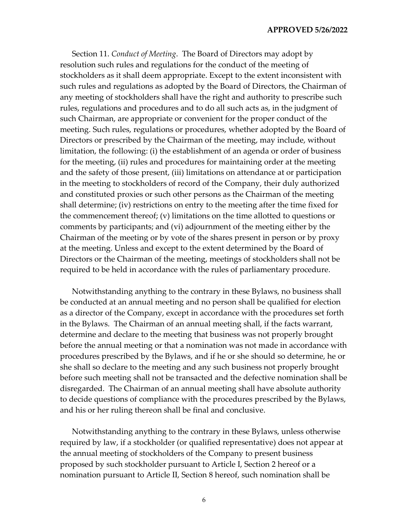#### **APPROVED 5/26/2022**

Section 11. *Conduct of Meeting*. The Board of Directors may adopt by resolution such rules and regulations for the conduct of the meeting of stockholders as it shall deem appropriate. Except to the extent inconsistent with such rules and regulations as adopted by the Board of Directors, the Chairman of any meeting of stockholders shall have the right and authority to prescribe such rules, regulations and procedures and to do all such acts as, in the judgment of such Chairman, are appropriate or convenient for the proper conduct of the meeting. Such rules, regulations or procedures, whether adopted by the Board of Directors or prescribed by the Chairman of the meeting, may include, without limitation, the following: (i) the establishment of an agenda or order of business for the meeting, (ii) rules and procedures for maintaining order at the meeting and the safety of those present, (iii) limitations on attendance at or participation in the meeting to stockholders of record of the Company, their duly authorized and constituted proxies or such other persons as the Chairman of the meeting shall determine; (iv) restrictions on entry to the meeting after the time fixed for the commencement thereof; (v) limitations on the time allotted to questions or comments by participants; and (vi) adjournment of the meeting either by the Chairman of the meeting or by vote of the shares present in person or by proxy at the meeting. Unless and except to the extent determined by the Board of Directors or the Chairman of the meeting, meetings of stockholders shall not be required to be held in accordance with the rules of parliamentary procedure.

Notwithstanding anything to the contrary in these Bylaws, no business shall be conducted at an annual meeting and no person shall be qualified for election as a director of the Company, except in accordance with the procedures set forth in the Bylaws. The Chairman of an annual meeting shall, if the facts warrant, determine and declare to the meeting that business was not properly brought before the annual meeting or that a nomination was not made in accordance with procedures prescribed by the Bylaws, and if he or she should so determine, he or she shall so declare to the meeting and any such business not properly brought before such meeting shall not be transacted and the defective nomination shall be disregarded. The Chairman of an annual meeting shall have absolute authority to decide questions of compliance with the procedures prescribed by the Bylaws, and his or her ruling thereon shall be final and conclusive.

Notwithstanding anything to the contrary in these Bylaws, unless otherwise required by law, if a stockholder (or qualified representative) does not appear at the annual meeting of stockholders of the Company to present business proposed by such stockholder pursuant to Article I, Section 2 hereof or a nomination pursuant to Article II, Section 8 hereof, such nomination shall be

6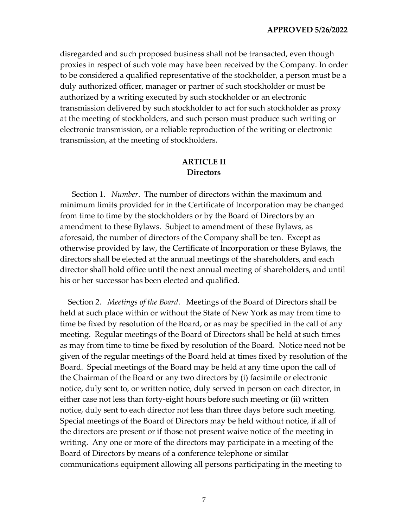disregarded and such proposed business shall not be transacted, even though proxies in respect of such vote may have been received by the Company. In order to be considered a qualified representative of the stockholder, a person must be a duly authorized officer, manager or partner of such stockholder or must be authorized by a writing executed by such stockholder or an electronic transmission delivered by such stockholder to act for such stockholder as proxy at the meeting of stockholders, and such person must produce such writing or electronic transmission, or a reliable reproduction of the writing or electronic transmission, at the meeting of stockholders.

### **ARTICLE II Directors**

Section 1. *Number*. The number of directors within the maximum and minimum limits provided for in the Certificate of Incorporation may be changed from time to time by the stockholders or by the Board of Directors by an amendment to these Bylaws. Subject to amendment of these Bylaws, as aforesaid, the number of directors of the Company shall be ten. Except as otherwise provided by law, the Certificate of Incorporation or these Bylaws, the directors shall be elected at the annual meetings of the shareholders, and each director shall hold office until the next annual meeting of shareholders, and until his or her successor has been elected and qualified.

Section 2. *Meetings of the Board*. Meetings of the Board of Directors shall be held at such place within or without the State of New York as may from time to time be fixed by resolution of the Board, or as may be specified in the call of any meeting. Regular meetings of the Board of Directors shall be held at such times as may from time to time be fixed by resolution of the Board. Notice need not be given of the regular meetings of the Board held at times fixed by resolution of the Board. Special meetings of the Board may be held at any time upon the call of the Chairman of the Board or any two directors by (i) facsimile or electronic notice, duly sent to, or written notice, duly served in person on each director, in either case not less than forty-eight hours before such meeting or (ii) written notice, duly sent to each director not less than three days before such meeting. Special meetings of the Board of Directors may be held without notice, if all of the directors are present or if those not present waive notice of the meeting in writing. Any one or more of the directors may participate in a meeting of the Board of Directors by means of a conference telephone or similar communications equipment allowing all persons participating in the meeting to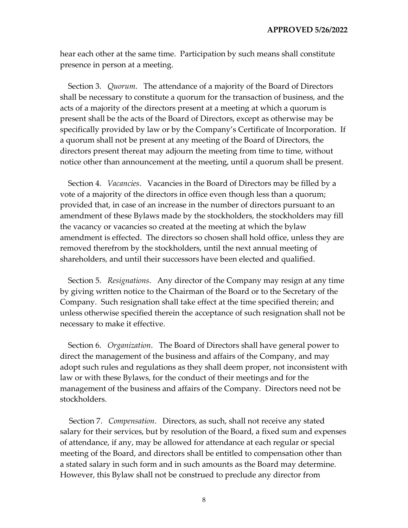hear each other at the same time. Participation by such means shall constitute presence in person at a meeting.

Section 3. *Quorum*. The attendance of a majority of the Board of Directors shall be necessary to constitute a quorum for the transaction of business, and the acts of a majority of the directors present at a meeting at which a quorum is present shall be the acts of the Board of Directors, except as otherwise may be specifically provided by law or by the Company's Certificate of Incorporation. If a quorum shall not be present at any meeting of the Board of Directors, the directors present thereat may adjourn the meeting from time to time, without notice other than announcement at the meeting, until a quorum shall be present.

Section 4. *Vacancies*. Vacancies in the Board of Directors may be filled by a vote of a majority of the directors in office even though less than a quorum; provided that, in case of an increase in the number of directors pursuant to an amendment of these Bylaws made by the stockholders, the stockholders may fill the vacancy or vacancies so created at the meeting at which the bylaw amendment is effected. The directors so chosen shall hold office, unless they are removed therefrom by the stockholders, until the next annual meeting of shareholders, and until their successors have been elected and qualified.

Section 5. *Resignations*. Any director of the Company may resign at any time by giving written notice to the Chairman of the Board or to the Secretary of the Company. Such resignation shall take effect at the time specified therein; and unless otherwise specified therein the acceptance of such resignation shall not be necessary to make it effective.

Section 6. *Organization*. The Board of Directors shall have general power to direct the management of the business and affairs of the Company, and may adopt such rules and regulations as they shall deem proper, not inconsistent with law or with these Bylaws, for the conduct of their meetings and for the management of the business and affairs of the Company. Directors need not be stockholders.

Section 7. *Compensation*. Directors, as such, shall not receive any stated salary for their services, but by resolution of the Board, a fixed sum and expenses of attendance, if any, may be allowed for attendance at each regular or special meeting of the Board, and directors shall be entitled to compensation other than a stated salary in such form and in such amounts as the Board may determine. However, this Bylaw shall not be construed to preclude any director from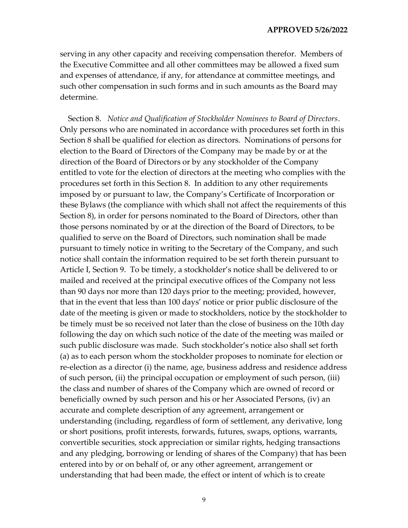serving in any other capacity and receiving compensation therefor. Members of the Executive Committee and all other committees may be allowed a fixed sum and expenses of attendance, if any, for attendance at committee meetings, and such other compensation in such forms and in such amounts as the Board may determine.

Section 8. *Notice and Qualification of Stockholder Nominees to Board of Directors*. Only persons who are nominated in accordance with procedures set forth in this Section 8 shall be qualified for election as directors. Nominations of persons for election to the Board of Directors of the Company may be made by or at the direction of the Board of Directors or by any stockholder of the Company entitled to vote for the election of directors at the meeting who complies with the procedures set forth in this Section 8. In addition to any other requirements imposed by or pursuant to law, the Company's Certificate of Incorporation or these Bylaws (the compliance with which shall not affect the requirements of this Section 8), in order for persons nominated to the Board of Directors, other than those persons nominated by or at the direction of the Board of Directors, to be qualified to serve on the Board of Directors, such nomination shall be made pursuant to timely notice in writing to the Secretary of the Company, and such notice shall contain the information required to be set forth therein pursuant to Article I, Section 9. To be timely, a stockholder's notice shall be delivered to or mailed and received at the principal executive offices of the Company not less than 90 days nor more than 120 days prior to the meeting; provided, however, that in the event that less than 100 days' notice or prior public disclosure of the date of the meeting is given or made to stockholders, notice by the stockholder to be timely must be so received not later than the close of business on the 10th day following the day on which such notice of the date of the meeting was mailed or such public disclosure was made. Such stockholder's notice also shall set forth (a) as to each person whom the stockholder proposes to nominate for election or re-election as a director (i) the name, age, business address and residence address of such person, (ii) the principal occupation or employment of such person, (iii) the class and number of shares of the Company which are owned of record or beneficially owned by such person and his or her Associated Persons, (iv) an accurate and complete description of any agreement, arrangement or understanding (including, regardless of form of settlement, any derivative, long or short positions, profit interests, forwards, futures, swaps, options, warrants, convertible securities, stock appreciation or similar rights, hedging transactions and any pledging, borrowing or lending of shares of the Company) that has been entered into by or on behalf of, or any other agreement, arrangement or understanding that had been made, the effect or intent of which is to create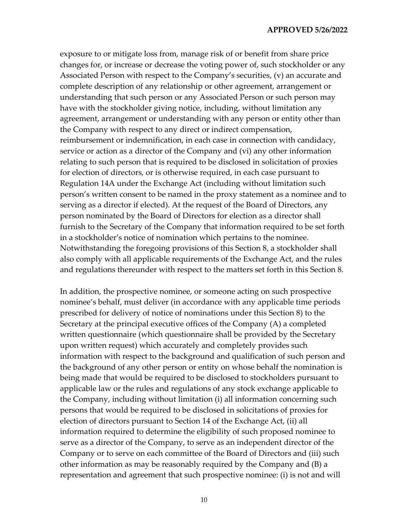exposure to or mitigate loss from, manage risk of or benefit from share price changes for, or increase or decrease the voting power of, such stockholder or any Associated Person with respect to the Company's securities, (v) an accurate and complete description of any relationship or other agreement, arrangement or understanding that such person or any Associated Person or such person may have with the stockholder giving notice, including, without limitation any agreement, arrangement or understanding with any person or entity other than the Company with respect to any direct or indirect compensation, reimbursement or indemnification, in each case in connection with candidacy, service or action as a director of the Company and (vi) any other information relating to such person that is required to be disclosed in solicitation of proxies for election of directors, or is otherwise required, in each case pursuant to Regulation 14A under the Exchange Act (including without limitation such person's written consent to be named in the proxy statement as a nominee and to serving as a director if elected). At the request of the Board of Directors, any person nominated by the Board of Directors for election as a director shall furnish to the Secretary of the Company that information required to be set forth in a stockholder's notice of nomination which pertains to the nominee. Notwithstanding the foregoing provisions of this Section 8, a stockholder shall also comply with all applicable requirements of the Exchange Act, and the rules and regulations thereunder with respect to the matters set forth in this Section 8.

In addition, the prospective nominee, or someone acting on such prospective nominee's behalf, must deliver (in accordance with any applicable time periods prescribed for delivery of notice of nominations under this Section 8) to the Secretary at the principal executive offices of the Company (A) a completed written questionnaire (which questionnaire shall be provided by the Secretary upon written request) which accurately and completely provides such information with respect to the background and qualification of such person and the background of any other person or entity on whose behalf the nomination is being made that would be required to be disclosed to stockholders pursuant to applicable law or the rules and regulations of any stock exchange applicable to the Company, including without limitation (i) all information concerning such persons that would be required to be disclosed in solicitations of proxies for election of directors pursuant to Section 14 of the Exchange Act, (ii) all information required to determine the eligibility of such proposed nominee to serve as a director of the Company, to serve as an independent director of the Company or to serve on each committee of the Board of Directors and (iii) such other information as may be reasonably required by the Company and (B) a representation and agreement that such prospective nominee: (i) is not and will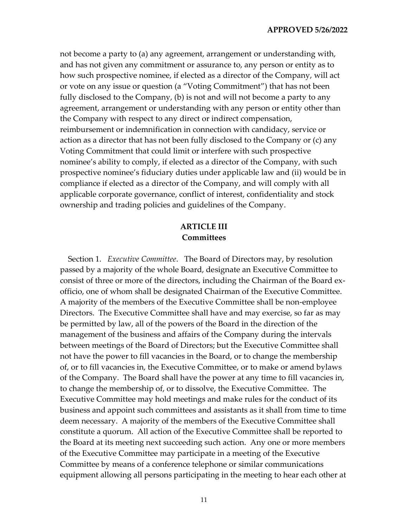not become a party to (a) any agreement, arrangement or understanding with, and has not given any commitment or assurance to, any person or entity as to how such prospective nominee, if elected as a director of the Company, will act or vote on any issue or question (a "Voting Commitment") that has not been fully disclosed to the Company, (b) is not and will not become a party to any agreement, arrangement or understanding with any person or entity other than the Company with respect to any direct or indirect compensation, reimbursement or indemnification in connection with candidacy, service or action as a director that has not been fully disclosed to the Company or (c) any Voting Commitment that could limit or interfere with such prospective nominee's ability to comply, if elected as a director of the Company, with such prospective nominee's fiduciary duties under applicable law and (ii) would be in compliance if elected as a director of the Company, and will comply with all applicable corporate governance, conflict of interest, confidentiality and stock ownership and trading policies and guidelines of the Company.

# **ARTICLE III Committees**

Section 1. *Executive Committee*. The Board of Directors may, by resolution passed by a majority of the whole Board, designate an Executive Committee to consist of three or more of the directors, including the Chairman of the Board exofficio, one of whom shall be designated Chairman of the Executive Committee. A majority of the members of the Executive Committee shall be non-employee Directors. The Executive Committee shall have and may exercise, so far as may be permitted by law, all of the powers of the Board in the direction of the management of the business and affairs of the Company during the intervals between meetings of the Board of Directors; but the Executive Committee shall not have the power to fill vacancies in the Board, or to change the membership of, or to fill vacancies in, the Executive Committee, or to make or amend bylaws of the Company. The Board shall have the power at any time to fill vacancies in, to change the membership of, or to dissolve, the Executive Committee. The Executive Committee may hold meetings and make rules for the conduct of its business and appoint such committees and assistants as it shall from time to time deem necessary. A majority of the members of the Executive Committee shall constitute a quorum. All action of the Executive Committee shall be reported to the Board at its meeting next succeeding such action. Any one or more members of the Executive Committee may participate in a meeting of the Executive Committee by means of a conference telephone or similar communications equipment allowing all persons participating in the meeting to hear each other at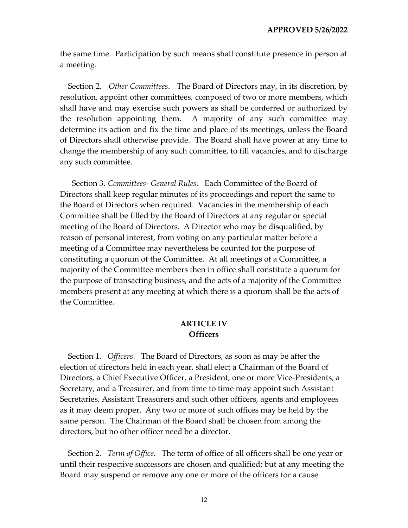the same time. Participation by such means shall constitute presence in person at a meeting.

Section 2. *Other Committees*. The Board of Directors may, in its discretion, by resolution, appoint other committees, composed of two or more members, which shall have and may exercise such powers as shall be conferred or authorized by the resolution appointing them. A majority of any such committee may determine its action and fix the time and place of its meetings, unless the Board of Directors shall otherwise provide. The Board shall have power at any time to change the membership of any such committee, to fill vacancies, and to discharge any such committee.

Section 3. *Committees- General Rules*. Each Committee of the Board of Directors shall keep regular minutes of its proceedings and report the same to the Board of Directors when required. Vacancies in the membership of each Committee shall be filled by the Board of Directors at any regular or special meeting of the Board of Directors. A Director who may be disqualified, by reason of personal interest, from voting on any particular matter before a meeting of a Committee may nevertheless be counted for the purpose of constituting a quorum of the Committee. At all meetings of a Committee, a majority of the Committee members then in office shall constitute a quorum for the purpose of transacting business, and the acts of a majority of the Committee members present at any meeting at which there is a quorum shall be the acts of the Committee.

### **ARTICLE IV Officers**

Section 1. *Officers*. The Board of Directors, as soon as may be after the election of directors held in each year, shall elect a Chairman of the Board of Directors, a Chief Executive Officer, a President, one or more Vice-Presidents, a Secretary, and a Treasurer, and from time to time may appoint such Assistant Secretaries, Assistant Treasurers and such other officers, agents and employees as it may deem proper. Any two or more of such offices may be held by the same person. The Chairman of the Board shall be chosen from among the directors, but no other officer need be a director.

Section 2. *Term of Office*. The term of office of all officers shall be one year or until their respective successors are chosen and qualified; but at any meeting the Board may suspend or remove any one or more of the officers for a cause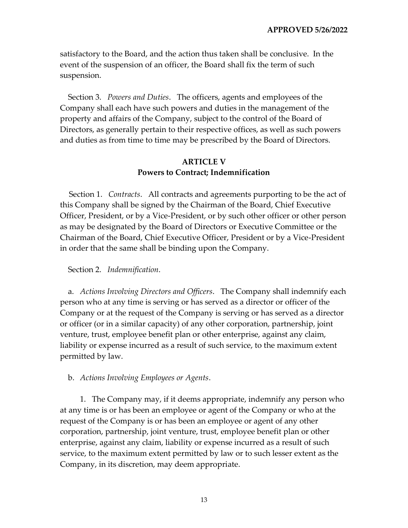satisfactory to the Board, and the action thus taken shall be conclusive. In the event of the suspension of an officer, the Board shall fix the term of such suspension.

Section 3. *Powers and Duties*. The officers, agents and employees of the Company shall each have such powers and duties in the management of the property and affairs of the Company, subject to the control of the Board of Directors, as generally pertain to their respective offices, as well as such powers and duties as from time to time may be prescribed by the Board of Directors.

# **ARTICLE V Powers to Contract; Indemnification**

Section 1. *Contracts*. All contracts and agreements purporting to be the act of this Company shall be signed by the Chairman of the Board, Chief Executive Officer, President, or by a Vice-President, or by such other officer or other person as may be designated by the Board of Directors or Executive Committee or the Chairman of the Board, Chief Executive Officer, President or by a Vice-President in order that the same shall be binding upon the Company.

#### Section 2. *Indemnification*.

a. *Actions Involving Directors and Officers*. The Company shall indemnify each person who at any time is serving or has served as a director or officer of the Company or at the request of the Company is serving or has served as a director or officer (or in a similar capacity) of any other corporation, partnership, joint venture, trust, employee benefit plan or other enterprise, against any claim, liability or expense incurred as a result of such service, to the maximum extent permitted by law.

b. *Actions Involving Employees or Agents*.

1. The Company may, if it deems appropriate, indemnify any person who at any time is or has been an employee or agent of the Company or who at the request of the Company is or has been an employee or agent of any other corporation, partnership, joint venture, trust, employee benefit plan or other enterprise, against any claim, liability or expense incurred as a result of such service, to the maximum extent permitted by law or to such lesser extent as the Company, in its discretion, may deem appropriate.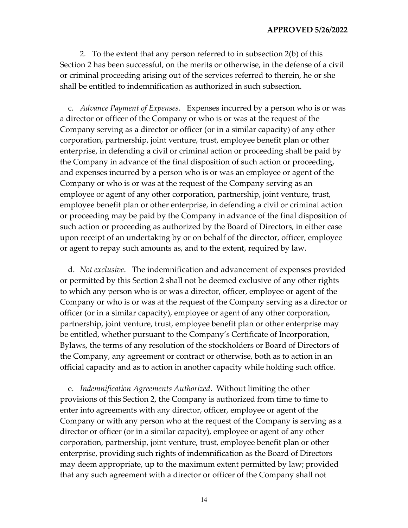2. To the extent that any person referred to in subsection 2(b) of this Section 2 has been successful, on the merits or otherwise, in the defense of a civil or criminal proceeding arising out of the services referred to therein, he or she shall be entitled to indemnification as authorized in such subsection.

c. *Advance Payment of Expenses*. Expenses incurred by a person who is or was a director or officer of the Company or who is or was at the request of the Company serving as a director or officer (or in a similar capacity) of any other corporation, partnership, joint venture, trust, employee benefit plan or other enterprise, in defending a civil or criminal action or proceeding shall be paid by the Company in advance of the final disposition of such action or proceeding, and expenses incurred by a person who is or was an employee or agent of the Company or who is or was at the request of the Company serving as an employee or agent of any other corporation, partnership, joint venture, trust, employee benefit plan or other enterprise, in defending a civil or criminal action or proceeding may be paid by the Company in advance of the final disposition of such action or proceeding as authorized by the Board of Directors, in either case upon receipt of an undertaking by or on behalf of the director, officer, employee or agent to repay such amounts as, and to the extent, required by law.

d. *Not exclusive*. The indemnification and advancement of expenses provided or permitted by this Section 2 shall not be deemed exclusive of any other rights to which any person who is or was a director, officer, employee or agent of the Company or who is or was at the request of the Company serving as a director or officer (or in a similar capacity), employee or agent of any other corporation, partnership, joint venture, trust, employee benefit plan or other enterprise may be entitled, whether pursuant to the Company's Certificate of Incorporation, Bylaws, the terms of any resolution of the stockholders or Board of Directors of the Company, any agreement or contract or otherwise, both as to action in an official capacity and as to action in another capacity while holding such office.

e. *Indemnification Agreements Authorized*. Without limiting the other provisions of this Section 2, the Company is authorized from time to time to enter into agreements with any director, officer, employee or agent of the Company or with any person who at the request of the Company is serving as a director or officer (or in a similar capacity), employee or agent of any other corporation, partnership, joint venture, trust, employee benefit plan or other enterprise, providing such rights of indemnification as the Board of Directors may deem appropriate, up to the maximum extent permitted by law; provided that any such agreement with a director or officer of the Company shall not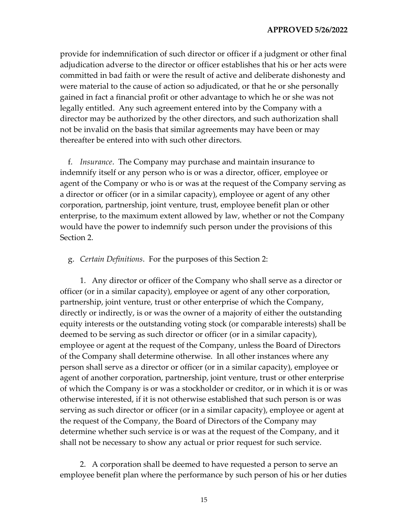provide for indemnification of such director or officer if a judgment or other final adjudication adverse to the director or officer establishes that his or her acts were committed in bad faith or were the result of active and deliberate dishonesty and were material to the cause of action so adjudicated, or that he or she personally gained in fact a financial profit or other advantage to which he or she was not legally entitled. Any such agreement entered into by the Company with a director may be authorized by the other directors, and such authorization shall not be invalid on the basis that similar agreements may have been or may thereafter be entered into with such other directors.

f. *Insurance*. The Company may purchase and maintain insurance to indemnify itself or any person who is or was a director, officer, employee or agent of the Company or who is or was at the request of the Company serving as a director or officer (or in a similar capacity), employee or agent of any other corporation, partnership, joint venture, trust, employee benefit plan or other enterprise, to the maximum extent allowed by law, whether or not the Company would have the power to indemnify such person under the provisions of this Section 2.

#### g. *Certain Definitions*. For the purposes of this Section 2:

1. Any director or officer of the Company who shall serve as a director or officer (or in a similar capacity), employee or agent of any other corporation, partnership, joint venture, trust or other enterprise of which the Company, directly or indirectly, is or was the owner of a majority of either the outstanding equity interests or the outstanding voting stock (or comparable interests) shall be deemed to be serving as such director or officer (or in a similar capacity), employee or agent at the request of the Company, unless the Board of Directors of the Company shall determine otherwise. In all other instances where any person shall serve as a director or officer (or in a similar capacity), employee or agent of another corporation, partnership, joint venture, trust or other enterprise of which the Company is or was a stockholder or creditor, or in which it is or was otherwise interested, if it is not otherwise established that such person is or was serving as such director or officer (or in a similar capacity), employee or agent at the request of the Company, the Board of Directors of the Company may determine whether such service is or was at the request of the Company, and it shall not be necessary to show any actual or prior request for such service.

2. A corporation shall be deemed to have requested a person to serve an employee benefit plan where the performance by such person of his or her duties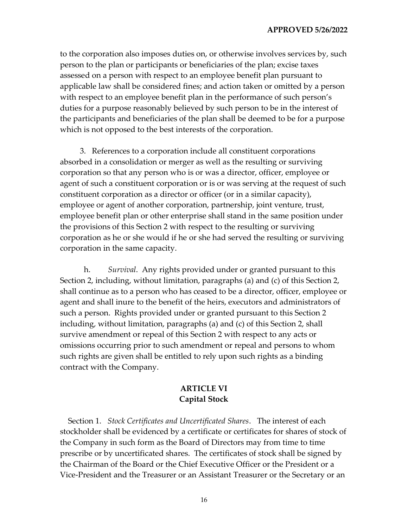to the corporation also imposes duties on, or otherwise involves services by, such person to the plan or participants or beneficiaries of the plan; excise taxes assessed on a person with respect to an employee benefit plan pursuant to applicable law shall be considered fines; and action taken or omitted by a person with respect to an employee benefit plan in the performance of such person's duties for a purpose reasonably believed by such person to be in the interest of the participants and beneficiaries of the plan shall be deemed to be for a purpose which is not opposed to the best interests of the corporation.

3. References to a corporation include all constituent corporations absorbed in a consolidation or merger as well as the resulting or surviving corporation so that any person who is or was a director, officer, employee or agent of such a constituent corporation or is or was serving at the request of such constituent corporation as a director or officer (or in a similar capacity), employee or agent of another corporation, partnership, joint venture, trust, employee benefit plan or other enterprise shall stand in the same position under the provisions of this Section 2 with respect to the resulting or surviving corporation as he or she would if he or she had served the resulting or surviving corporation in the same capacity.

h. *Survival*. Any rights provided under or granted pursuant to this Section 2, including, without limitation, paragraphs (a) and (c) of this Section 2, shall continue as to a person who has ceased to be a director, officer, employee or agent and shall inure to the benefit of the heirs, executors and administrators of such a person. Rights provided under or granted pursuant to this Section 2 including, without limitation, paragraphs (a) and (c) of this Section 2, shall survive amendment or repeal of this Section 2 with respect to any acts or omissions occurring prior to such amendment or repeal and persons to whom such rights are given shall be entitled to rely upon such rights as a binding contract with the Company.

# **ARTICLE VI Capital Stock**

Section 1. *Stock Certificates and Uncertificated Shares*. The interest of each stockholder shall be evidenced by a certificate or certificates for shares of stock of the Company in such form as the Board of Directors may from time to time prescribe or by uncertificated shares. The certificates of stock shall be signed by the Chairman of the Board or the Chief Executive Officer or the President or a Vice-President and the Treasurer or an Assistant Treasurer or the Secretary or an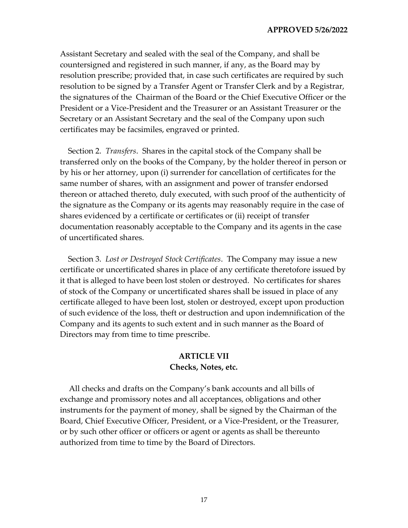Assistant Secretary and sealed with the seal of the Company, and shall be countersigned and registered in such manner, if any, as the Board may by resolution prescribe; provided that, in case such certificates are required by such resolution to be signed by a Transfer Agent or Transfer Clerk and by a Registrar, the signatures of the Chairman of the Board or the Chief Executive Officer or the President or a Vice-President and the Treasurer or an Assistant Treasurer or the Secretary or an Assistant Secretary and the seal of the Company upon such certificates may be facsimiles, engraved or printed.

Section 2. *Transfers*. Shares in the capital stock of the Company shall be transferred only on the books of the Company, by the holder thereof in person or by his or her attorney, upon (i) surrender for cancellation of certificates for the same number of shares, with an assignment and power of transfer endorsed thereon or attached thereto, duly executed, with such proof of the authenticity of the signature as the Company or its agents may reasonably require in the case of shares evidenced by a certificate or certificates or (ii) receipt of transfer documentation reasonably acceptable to the Company and its agents in the case of uncertificated shares.

Section 3. *Lost or Destroyed Stock Certificates*. The Company may issue a new certificate or uncertificated shares in place of any certificate theretofore issued by it that is alleged to have been lost stolen or destroyed. No certificates for shares of stock of the Company or uncertificated shares shall be issued in place of any certificate alleged to have been lost, stolen or destroyed, except upon production of such evidence of the loss, theft or destruction and upon indemnification of the Company and its agents to such extent and in such manner as the Board of Directors may from time to time prescribe.

### **ARTICLE VII Checks, Notes, etc.**

All checks and drafts on the Company's bank accounts and all bills of exchange and promissory notes and all acceptances, obligations and other instruments for the payment of money, shall be signed by the Chairman of the Board, Chief Executive Officer, President, or a Vice-President, or the Treasurer, or by such other officer or officers or agent or agents as shall be thereunto authorized from time to time by the Board of Directors.